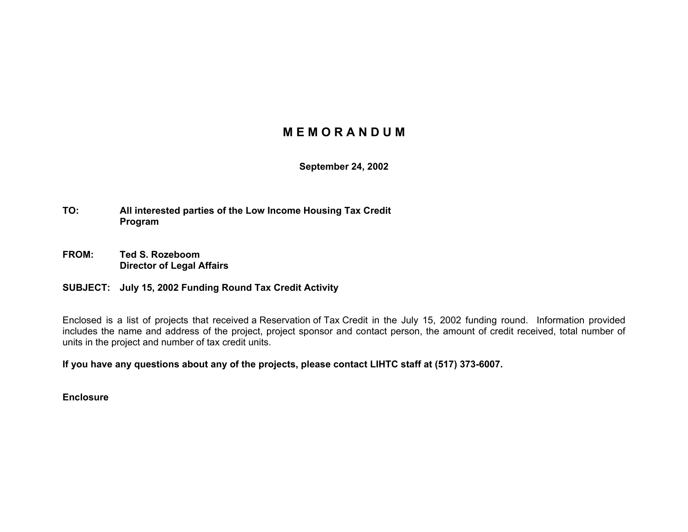## **M E M O R A N D U M**

**September 24, 2002** 

- **TO: All interested parties of the Low Income Housing Tax Credit Program**
- **FROM: Ted S. Rozeboom Director of Legal Affairs**

## **SUBJECT: July 15, 2002 Funding Round Tax Credit Activity**

Enclosed is a list of projects that received a Reservation of Tax Credit in the July 15, 2002 funding round. Information provided includes the name and address of the project, project sponsor and contact person, the amount of credit received, total number of units in the project and number of tax credit units.

**If you have any questions about any of the projects, please contact LIHTC staff at (517) 373-6007.** 

**Enclosure**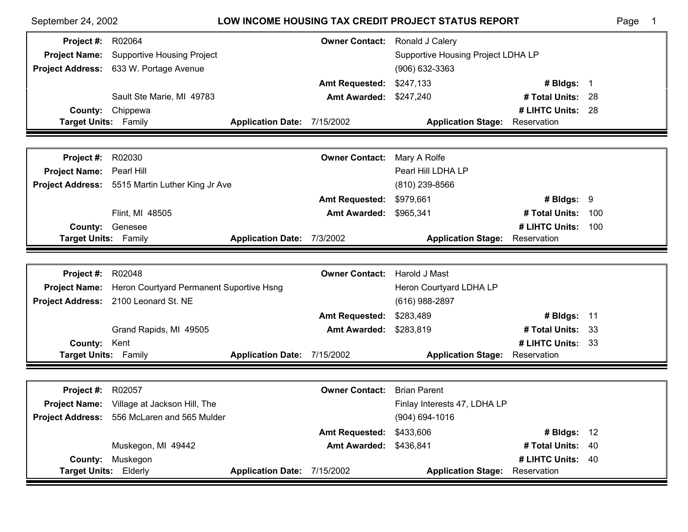| September 24, 2002                      |                                                   |                                    |                               | <b>LOW INCOME HOUSING TAX CREDIT PROJECT STATUS REPORT</b> |                                  |     | Page |
|-----------------------------------------|---------------------------------------------------|------------------------------------|-------------------------------|------------------------------------------------------------|----------------------------------|-----|------|
| <b>Project #: R02064</b>                |                                                   |                                    | <b>Owner Contact:</b>         | Ronald J Calery                                            |                                  |     |      |
| <b>Project Name:</b>                    | <b>Supportive Housing Project</b>                 | Supportive Housing Project LDHA LP |                               |                                                            |                                  |     |      |
|                                         | Project Address: 633 W. Portage Avenue            |                                    |                               | (906) 632-3363                                             |                                  |     |      |
|                                         |                                                   |                                    | <b>Amt Requested:</b>         | \$247,133                                                  | # Bldgs: $1$                     |     |      |
|                                         | Sault Ste Marie, MI 49783                         |                                    | <b>Amt Awarded: \$247,240</b> |                                                            | # Total Units: 28                |     |      |
| County:                                 | Chippewa                                          |                                    |                               |                                                            | # LIHTC Units: 28                |     |      |
| Target Units: Family                    |                                                   | <b>Application Date:</b>           | 7/15/2002                     | <b>Application Stage:</b>                                  | Reservation                      |     |      |
|                                         |                                                   |                                    |                               |                                                            |                                  |     |      |
| Project #:                              | R02030                                            |                                    | <b>Owner Contact:</b>         | Mary A Rolfe                                               |                                  |     |      |
| Project Name: Pearl Hill                |                                                   |                                    |                               | Pearl Hill LDHA LP                                         |                                  |     |      |
|                                         | Project Address: 5515 Martin Luther King Jr Ave   |                                    |                               | $(810)$ 239-8566                                           |                                  |     |      |
|                                         |                                                   |                                    | <b>Amt Requested:</b>         | \$979,661                                                  | # Bldgs: $9$                     |     |      |
|                                         | Flint, MI 48505                                   |                                    | <b>Amt Awarded:</b>           | \$965,341                                                  | # Total Units:                   | 100 |      |
| County:                                 | Genesee                                           |                                    |                               |                                                            | # LIHTC Units:                   | 100 |      |
| <b>Target Units: Family</b>             |                                                   | Application Date: 7/3/2002         |                               | <b>Application Stage:</b>                                  | Reservation                      |     |      |
|                                         |                                                   |                                    |                               |                                                            |                                  |     |      |
|                                         |                                                   |                                    |                               |                                                            |                                  |     |      |
| Project #:                              | R02048                                            |                                    | <b>Owner Contact:</b>         | Harold J Mast                                              |                                  |     |      |
| <b>Project Name:</b>                    | Heron Courtyard Permanent Suportive Hsng          |                                    |                               | Heron Courtyard LDHA LP                                    |                                  |     |      |
|                                         | Project Address: 2100 Leonard St. NE              |                                    |                               | (616) 988-2897                                             |                                  |     |      |
|                                         |                                                   |                                    | <b>Amt Requested:</b>         | \$283,489                                                  | # Bldgs: $11$                    |     |      |
|                                         | Grand Rapids, MI 49505                            |                                    | <b>Amt Awarded:</b>           | \$283,819                                                  | # Total Units: 33                |     |      |
| County:                                 | Kent                                              |                                    |                               |                                                            | # LIHTC Units: 33                |     |      |
| Target Units: Family                    |                                                   | Application Date: 7/15/2002        |                               | <b>Application Stage:</b>                                  | Reservation                      |     |      |
|                                         |                                                   |                                    |                               |                                                            |                                  |     |      |
| Project #:                              | R02057                                            |                                    | <b>Owner Contact:</b>         | <b>Brian Parent</b>                                        |                                  |     |      |
|                                         | <b>Project Name:</b> Village at Jackson Hill, The |                                    |                               | Finlay Interests 47, LDHA LP                               |                                  |     |      |
|                                         | Project Address: 556 McLaren and 565 Mulder       |                                    |                               | $(904) 694 - 1016$                                         |                                  |     |      |
|                                         |                                                   |                                    | <b>Amt Requested:</b>         | \$433,606                                                  | # Bldgs: 12                      |     |      |
|                                         | Muskegon, MI 49442                                |                                    | <b>Amt Awarded:</b>           | \$436,841                                                  | # Total Units: 40                |     |      |
| <b>County:</b><br>Target Units: Elderly | Muskegon                                          | Application Date: 7/15/2002        |                               |                                                            | # LIHTC Units: 40<br>Reservation |     |      |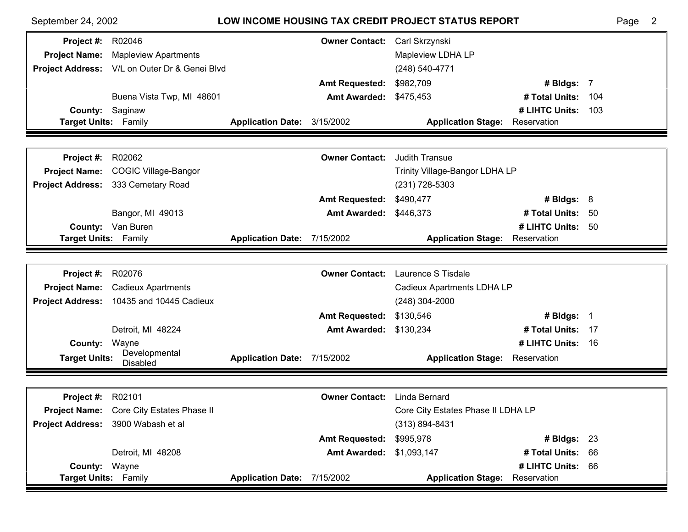| September 24, 2002       |                                          | LOW INCOME HOUSING TAX CREDIT PROJECT STATUS REPORT |                       |                                       |                   |      | $\overline{2}$<br>Page |
|--------------------------|------------------------------------------|-----------------------------------------------------|-----------------------|---------------------------------------|-------------------|------|------------------------|
| <b>Project #: R02046</b> |                                          |                                                     | <b>Owner Contact:</b> | Carl Skrzynski                        |                   |      |                        |
| <b>Project Name:</b>     | <b>Mapleview Apartments</b>              |                                                     |                       | Mapleview LDHA LP                     |                   |      |                        |
| <b>Project Address:</b>  | V/L on Outer Dr & Genei Blvd             |                                                     |                       | (248) 540-4771                        |                   |      |                        |
|                          |                                          |                                                     | <b>Amt Requested:</b> | \$982,709                             | # Bldgs: 7        |      |                        |
|                          | Buena Vista Twp, MI 48601                |                                                     | <b>Amt Awarded:</b>   | \$475,453                             | # Total Units:    | 104  |                        |
| County:                  | Saginaw                                  |                                                     |                       |                                       | # LIHTC Units:    | 103  |                        |
| Target Units: Family     |                                          | Application Date: 3/15/2002                         |                       | <b>Application Stage: Reservation</b> |                   |      |                        |
|                          |                                          |                                                     |                       |                                       |                   |      |                        |
| Project #:               | R02062                                   |                                                     | <b>Owner Contact:</b> | <b>Judith Transue</b>                 |                   |      |                        |
| <b>Project Name:</b>     | <b>COGIC Village-Bangor</b>              |                                                     |                       | Trinity Village-Bangor LDHA LP        |                   |      |                        |
| <b>Project Address:</b>  | 333 Cemetary Road                        |                                                     |                       | (231) 728-5303                        |                   |      |                        |
|                          |                                          |                                                     | <b>Amt Requested:</b> | \$490,477                             | # Bldgs: $8$      |      |                        |
|                          | Bangor, MI 49013                         |                                                     | <b>Amt Awarded:</b>   | \$446,373                             | # Total Units:    | -50  |                        |
| County:                  | Van Buren                                |                                                     |                       |                                       | # LIHTC Units:    | 50   |                        |
| Target Units: Family     |                                          | Application Date: 7/15/2002                         |                       | <b>Application Stage:</b>             | Reservation       |      |                        |
|                          |                                          |                                                     |                       |                                       |                   |      |                        |
| Project #:               | R02076                                   |                                                     | <b>Owner Contact:</b> | Laurence S Tisdale                    |                   |      |                        |
| <b>Project Name:</b>     | <b>Cadieux Apartments</b>                |                                                     |                       | Cadieux Apartments LDHA LP            |                   |      |                        |
| <b>Project Address:</b>  | 10435 and 10445 Cadieux                  |                                                     |                       | (248) 304-2000                        |                   |      |                        |
|                          |                                          |                                                     | <b>Amt Requested:</b> | \$130,546                             | # Bldgs: 1        |      |                        |
|                          | Detroit, MI 48224                        |                                                     | <b>Amt Awarded:</b>   | \$130,234                             | # Total Units:    | - 17 |                        |
| County:                  | Wayne<br>Developmental                   |                                                     |                       |                                       | # LIHTC Units:    | - 16 |                        |
| <b>Target Units:</b>     | <b>Disabled</b>                          | Application Date: 7/15/2002                         |                       | <b>Application Stage:</b>             | Reservation       |      |                        |
|                          |                                          |                                                     |                       |                                       |                   |      |                        |
| <b>Project #: R02101</b> |                                          |                                                     | <b>Owner Contact:</b> | Linda Bernard                         |                   |      |                        |
|                          | Project Name: Core City Estates Phase II |                                                     |                       | Core City Estates Phase II LDHA LP    |                   |      |                        |
|                          | Project Address: 3900 Wabash et al       |                                                     |                       | $(313) 894 - 8431$                    |                   |      |                        |
|                          |                                          |                                                     | <b>Amt Requested:</b> | \$995,978                             | $#$ Bldgs: 23     |      |                        |
|                          | Detroit, MI 48208                        |                                                     | <b>Amt Awarded:</b>   | \$1,093,147                           | # Total Units: 66 |      |                        |
| County: Wayne            |                                          |                                                     |                       |                                       | # LIHTC Units: 66 |      |                        |
| Target Units: Family     |                                          | Application Date: 7/15/2002                         |                       | <b>Application Stage: Reservation</b> |                   |      |                        |